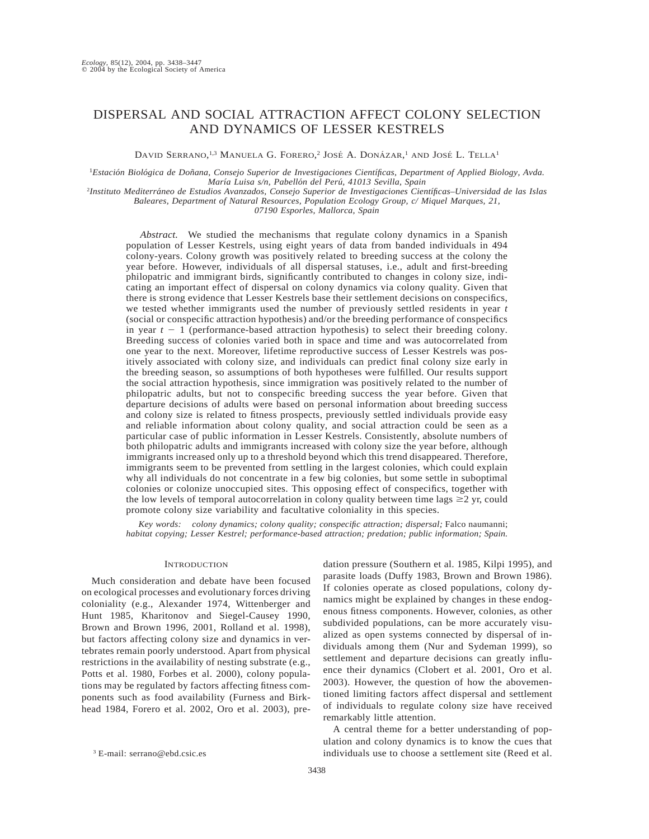# DISPERSAL AND SOCIAL ATTRACTION AFFECT COLONY SELECTION AND DYNAMICS OF LESSER KESTRELS

DAVID SERRANO,<sup>1,3</sup> MANUELA G. FORERO,<sup>2</sup> JOSÉ A. DONÁZAR,<sup>1</sup> AND JOSÉ L. TELLA<sup>1</sup>

<sup>1</sup>Estación Biológica de Doñana, Consejo Superior de Investigaciones Científicas, Department of Applied Biology, Avda. *Marı´a Luisa s/n, Pabello´n del Peru´, 41013 Sevilla, Spain*

2 *Instituto Mediterra´neo de Estudios Avanzados, Consejo Superior de Investigaciones Cientı´ficas–Universidad de las Islas Baleares, Department of Natural Resources, Population Ecology Group, c/ Miquel Marques, 21, 07190 Esporles, Mallorca, Spain*

*Abstract.* We studied the mechanisms that regulate colony dynamics in a Spanish population of Lesser Kestrels, using eight years of data from banded individuals in 494 colony-years. Colony growth was positively related to breeding success at the colony the year before. However, individuals of all dispersal statuses, i.e., adult and first-breeding philopatric and immigrant birds, significantly contributed to changes in colony size, indicating an important effect of dispersal on colony dynamics via colony quality. Given that there is strong evidence that Lesser Kestrels base their settlement decisions on conspecifics, we tested whether immigrants used the number of previously settled residents in year *t* (social or conspecific attraction hypothesis) and/or the breeding performance of conspecifics in year  $t - 1$  (performance-based attraction hypothesis) to select their breeding colony. Breeding success of colonies varied both in space and time and was autocorrelated from one year to the next. Moreover, lifetime reproductive success of Lesser Kestrels was positively associated with colony size, and individuals can predict final colony size early in the breeding season, so assumptions of both hypotheses were fulfilled. Our results support the social attraction hypothesis, since immigration was positively related to the number of philopatric adults, but not to conspecific breeding success the year before. Given that departure decisions of adults were based on personal information about breeding success and colony size is related to fitness prospects, previously settled individuals provide easy and reliable information about colony quality, and social attraction could be seen as a particular case of public information in Lesser Kestrels. Consistently, absolute numbers of both philopatric adults and immigrants increased with colony size the year before, although immigrants increased only up to a threshold beyond which this trend disappeared. Therefore, immigrants seem to be prevented from settling in the largest colonies, which could explain why all individuals do not concentrate in a few big colonies, but some settle in suboptimal colonies or colonize unoccupied sites. This opposing effect of conspecifics, together with the low levels of temporal autocorrelation in colony quality between time lags  $\geq 2$  yr, could promote colony size variability and facultative coloniality in this species.

*Key words: colony dynamics; colony quality; conspecific attraction; dispersal;* Falco naumanni; *habitat copying; Lesser Kestrel; performance-based attraction; predation; public information; Spain.*

#### **INTRODUCTION**

Much consideration and debate have been focused on ecological processes and evolutionary forces driving coloniality (e.g., Alexander 1974, Wittenberger and Hunt 1985, Kharitonov and Siegel-Causey 1990, Brown and Brown 1996, 2001, Rolland et al. 1998), but factors affecting colony size and dynamics in vertebrates remain poorly understood. Apart from physical restrictions in the availability of nesting substrate (e.g., Potts et al. 1980, Forbes et al. 2000), colony populations may be regulated by factors affecting fitness components such as food availability (Furness and Birkhead 1984, Forero et al. 2002, Oro et al. 2003), predation pressure (Southern et al. 1985, Kilpi 1995), and parasite loads (Duffy 1983, Brown and Brown 1986). If colonies operate as closed populations, colony dynamics might be explained by changes in these endogenous fitness components. However, colonies, as other subdivided populations, can be more accurately visualized as open systems connected by dispersal of individuals among them (Nur and Sydeman 1999), so settlement and departure decisions can greatly influence their dynamics (Clobert et al. 2001, Oro et al. 2003). However, the question of how the abovementioned limiting factors affect dispersal and settlement of individuals to regulate colony size have received remarkably little attention.

A central theme for a better understanding of population and colony dynamics is to know the cues that individuals use to choose a settlement site (Reed et al.

<sup>3</sup> E-mail: serrano@ebd.csic.es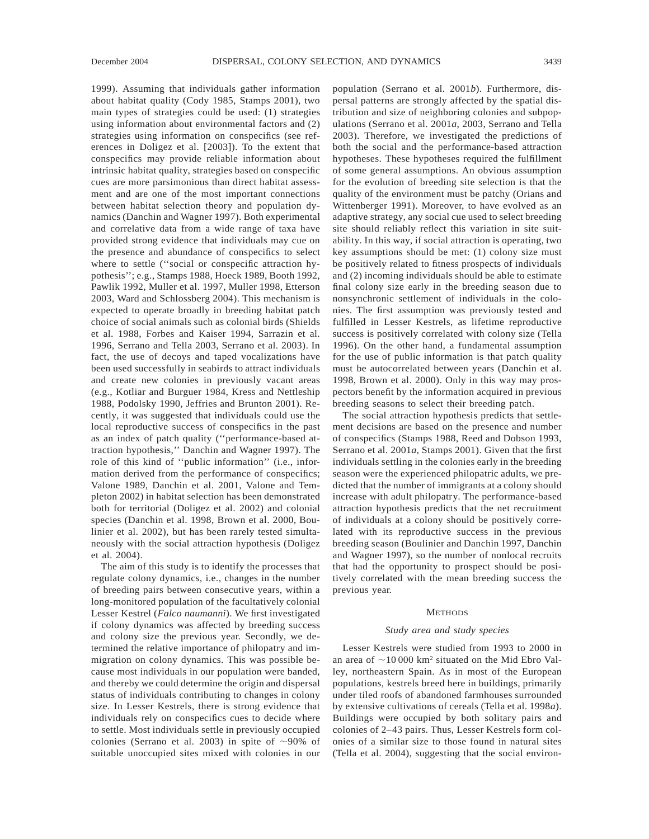1999). Assuming that individuals gather information about habitat quality (Cody 1985, Stamps 2001), two main types of strategies could be used: (1) strategies using information about environmental factors and (2) strategies using information on conspecifics (see references in Doligez et al. [2003]). To the extent that conspecifics may provide reliable information about intrinsic habitat quality, strategies based on conspecific cues are more parsimonious than direct habitat assessment and are one of the most important connections between habitat selection theory and population dynamics (Danchin and Wagner 1997). Both experimental and correlative data from a wide range of taxa have provided strong evidence that individuals may cue on the presence and abundance of conspecifics to select where to settle (''social or conspecific attraction hypothesis''; e.g., Stamps 1988, Hoeck 1989, Booth 1992, Pawlik 1992, Muller et al. 1997, Muller 1998, Etterson 2003, Ward and Schlossberg 2004). This mechanism is expected to operate broadly in breeding habitat patch choice of social animals such as colonial birds (Shields et al. 1988, Forbes and Kaiser 1994, Sarrazin et al. 1996, Serrano and Tella 2003, Serrano et al. 2003). In fact, the use of decoys and taped vocalizations have been used successfully in seabirds to attract individuals and create new colonies in previously vacant areas (e.g., Kotliar and Burguer 1984, Kress and Nettleship 1988, Podolsky 1990, Jeffries and Brunton 2001). Recently, it was suggested that individuals could use the local reproductive success of conspecifics in the past as an index of patch quality (''performance-based attraction hypothesis,'' Danchin and Wagner 1997). The role of this kind of ''public information'' (i.e., information derived from the performance of conspecifics; Valone 1989, Danchin et al. 2001, Valone and Templeton 2002) in habitat selection has been demonstrated both for territorial (Doligez et al. 2002) and colonial species (Danchin et al. 1998, Brown et al. 2000, Boulinier et al. 2002), but has been rarely tested simultaneously with the social attraction hypothesis (Doligez et al. 2004).

The aim of this study is to identify the processes that regulate colony dynamics, i.e., changes in the number of breeding pairs between consecutive years, within a long-monitored population of the facultatively colonial Lesser Kestrel (*Falco naumanni*). We first investigated if colony dynamics was affected by breeding success and colony size the previous year. Secondly, we determined the relative importance of philopatry and immigration on colony dynamics. This was possible because most individuals in our population were banded, and thereby we could determine the origin and dispersal status of individuals contributing to changes in colony size. In Lesser Kestrels, there is strong evidence that individuals rely on conspecifics cues to decide where to settle. Most individuals settle in previously occupied colonies (Serrano et al. 2003) in spite of  $\sim$ 90% of suitable unoccupied sites mixed with colonies in our population (Serrano et al. 2001*b*). Furthermore, dispersal patterns are strongly affected by the spatial distribution and size of neighboring colonies and subpopulations (Serrano et al. 2001*a*, 2003, Serrano and Tella 2003). Therefore, we investigated the predictions of both the social and the performance-based attraction hypotheses. These hypotheses required the fulfillment of some general assumptions. An obvious assumption for the evolution of breeding site selection is that the quality of the environment must be patchy (Orians and Wittenberger 1991). Moreover, to have evolved as an adaptive strategy, any social cue used to select breeding site should reliably reflect this variation in site suitability. In this way, if social attraction is operating, two key assumptions should be met: (1) colony size must be positively related to fitness prospects of individuals and (2) incoming individuals should be able to estimate final colony size early in the breeding season due to nonsynchronic settlement of individuals in the colonies. The first assumption was previously tested and fulfilled in Lesser Kestrels, as lifetime reproductive success is positively correlated with colony size (Tella 1996). On the other hand, a fundamental assumption for the use of public information is that patch quality must be autocorrelated between years (Danchin et al. 1998, Brown et al. 2000). Only in this way may prospectors benefit by the information acquired in previous breeding seasons to select their breeding patch.

The social attraction hypothesis predicts that settlement decisions are based on the presence and number of conspecifics (Stamps 1988, Reed and Dobson 1993, Serrano et al. 2001*a*, Stamps 2001). Given that the first individuals settling in the colonies early in the breeding season were the experienced philopatric adults, we predicted that the number of immigrants at a colony should increase with adult philopatry. The performance-based attraction hypothesis predicts that the net recruitment of individuals at a colony should be positively correlated with its reproductive success in the previous breeding season (Boulinier and Danchin 1997, Danchin and Wagner 1997), so the number of nonlocal recruits that had the opportunity to prospect should be positively correlated with the mean breeding success the previous year.

#### METHODS

## *Study area and study species*

Lesser Kestrels were studied from 1993 to 2000 in an area of  $\sim$ 10 000 km<sup>2</sup> situated on the Mid Ebro Valley, northeastern Spain. As in most of the European populations, kestrels breed here in buildings, primarily under tiled roofs of abandoned farmhouses surrounded by extensive cultivations of cereals (Tella et al. 1998*a*). Buildings were occupied by both solitary pairs and colonies of 2–43 pairs. Thus, Lesser Kestrels form colonies of a similar size to those found in natural sites (Tella et al. 2004), suggesting that the social environ-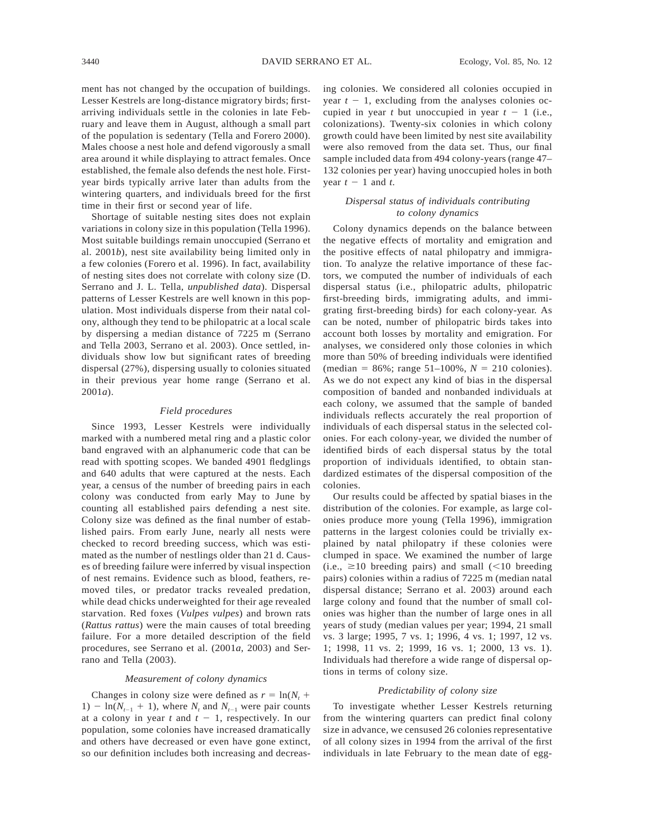ment has not changed by the occupation of buildings. Lesser Kestrels are long-distance migratory birds; firstarriving individuals settle in the colonies in late February and leave them in August, although a small part of the population is sedentary (Tella and Forero 2000). Males choose a nest hole and defend vigorously a small area around it while displaying to attract females. Once established, the female also defends the nest hole. Firstyear birds typically arrive later than adults from the wintering quarters, and individuals breed for the first time in their first or second year of life.

Shortage of suitable nesting sites does not explain variations in colony size in this population (Tella 1996). Most suitable buildings remain unoccupied (Serrano et al. 2001*b*), nest site availability being limited only in a few colonies (Forero et al. 1996). In fact, availability of nesting sites does not correlate with colony size (D. Serrano and J. L. Tella, *unpublished data*). Dispersal patterns of Lesser Kestrels are well known in this population. Most individuals disperse from their natal colony, although they tend to be philopatric at a local scale by dispersing a median distance of 7225 m (Serrano and Tella 2003, Serrano et al. 2003). Once settled, individuals show low but significant rates of breeding dispersal (27%), dispersing usually to colonies situated in their previous year home range (Serrano et al. 2001*a*).

## *Field procedures*

Since 1993, Lesser Kestrels were individually marked with a numbered metal ring and a plastic color band engraved with an alphanumeric code that can be read with spotting scopes. We banded 4901 fledglings and 640 adults that were captured at the nests. Each year, a census of the number of breeding pairs in each colony was conducted from early May to June by counting all established pairs defending a nest site. Colony size was defined as the final number of established pairs. From early June, nearly all nests were checked to record breeding success, which was estimated as the number of nestlings older than 21 d. Causes of breeding failure were inferred by visual inspection of nest remains. Evidence such as blood, feathers, removed tiles, or predator tracks revealed predation, while dead chicks underweighted for their age revealed starvation. Red foxes (*Vulpes vulpes*) and brown rats (*Rattus rattus*) were the main causes of total breeding failure. For a more detailed description of the field procedures, see Serrano et al. (2001*a*, 2003) and Serrano and Tella (2003).

## *Measurement of colony dynamics*

Changes in colony size were defined as  $r = \ln(N_t +$  $1)$  – ln( $N_{t-1}$  + 1), where  $N_t$  and  $N_{t-1}$  were pair counts at a colony in year  $t$  and  $t - 1$ , respectively. In our population, some colonies have increased dramatically and others have decreased or even have gone extinct, so our definition includes both increasing and decreasing colonies. We considered all colonies occupied in year  $t - 1$ , excluding from the analyses colonies occupied in year *t* but unoccupied in year  $t - 1$  (i.e., colonizations). Twenty-six colonies in which colony growth could have been limited by nest site availability were also removed from the data set. Thus, our final sample included data from 494 colony-years (range 47– 132 colonies per year) having unoccupied holes in both year  $t - 1$  and  $t$ .

## *Dispersal status of individuals contributing to colony dynamics*

Colony dynamics depends on the balance between the negative effects of mortality and emigration and the positive effects of natal philopatry and immigration. To analyze the relative importance of these factors, we computed the number of individuals of each dispersal status (i.e., philopatric adults, philopatric first-breeding birds, immigrating adults, and immigrating first-breeding birds) for each colony-year. As can be noted, number of philopatric birds takes into account both losses by mortality and emigration. For analyses, we considered only those colonies in which more than 50% of breeding individuals were identified (median =  $86\%$ ; range  $51-100\%$ ,  $N = 210$  colonies). As we do not expect any kind of bias in the dispersal composition of banded and nonbanded individuals at each colony, we assumed that the sample of banded individuals reflects accurately the real proportion of individuals of each dispersal status in the selected colonies. For each colony-year, we divided the number of identified birds of each dispersal status by the total proportion of individuals identified, to obtain standardized estimates of the dispersal composition of the colonies.

Our results could be affected by spatial biases in the distribution of the colonies. For example, as large colonies produce more young (Tella 1996), immigration patterns in the largest colonies could be trivially explained by natal philopatry if these colonies were clumped in space. We examined the number of large  $(i.e., \geq 10$  breeding pairs) and small (<10 breeding pairs) colonies within a radius of 7225 m (median natal dispersal distance; Serrano et al. 2003) around each large colony and found that the number of small colonies was higher than the number of large ones in all years of study (median values per year; 1994, 21 small vs. 3 large; 1995, 7 vs. 1; 1996, 4 vs. 1; 1997, 12 vs. 1; 1998, 11 vs. 2; 1999, 16 vs. 1; 2000, 13 vs. 1). Individuals had therefore a wide range of dispersal options in terms of colony size.

### *Predictability of colony size*

To investigate whether Lesser Kestrels returning from the wintering quarters can predict final colony size in advance, we censused 26 colonies representative of all colony sizes in 1994 from the arrival of the first individuals in late February to the mean date of egg-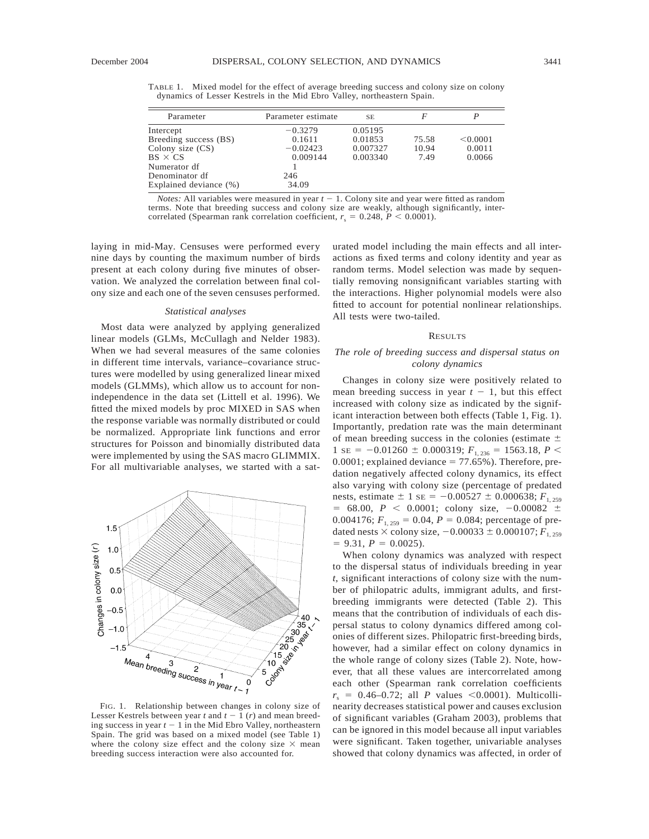TABLE 1. Mixed model for the effect of average breeding success and colony size on colony dynamics of Lesser Kestrels in the Mid Ebro Valley, northeastern Spain.

| Parameter              | Parameter estimate | <b>SE</b> |       |          |
|------------------------|--------------------|-----------|-------|----------|
| Intercept              | $-0.3279$          | 0.05195   |       |          |
| Breeding success (BS)  | 0.1611             | 0.01853   | 75.58 | < 0.0001 |
| Colony size (CS)       | $-0.02423$         | 0.007327  | 10.94 | 0.0011   |
| $BS \times CS$         | 0.009144           | 0.003340  | 7.49  | 0.0066   |
| Numerator df           |                    |           |       |          |
| Denominator df         | 246                |           |       |          |
| Explained deviance (%) | 34.09              |           |       |          |

*Notes:* All variables were measured in year  $t - 1$ . Colony site and year were fitted as random terms. Note that breeding success and colony size are weakly, although significantly, intercorrelated (Spearman rank correlation coefficient,  $r_s = 0.248$ ,  $P < 0.0001$ ).

laying in mid-May. Censuses were performed every nine days by counting the maximum number of birds present at each colony during five minutes of observation. We analyzed the correlation between final colony size and each one of the seven censuses performed.

#### *Statistical analyses*

Most data were analyzed by applying generalized linear models (GLMs, McCullagh and Nelder 1983). When we had several measures of the same colonies in different time intervals, variance–covariance structures were modelled by using generalized linear mixed models (GLMMs), which allow us to account for nonindependence in the data set (Littell et al. 1996). We fitted the mixed models by proc MIXED in SAS when the response variable was normally distributed or could be normalized. Appropriate link functions and error structures for Poisson and binomially distributed data were implemented by using the SAS macro GLIMMIX. For all multivariable analyses, we started with a sat-



FIG. 1. Relationship between changes in colony size of Lesser Kestrels between year *t* and  $t - 1$  (*r*) and mean breeding success in year  $t - 1$  in the Mid Ebro Valley, northeastern Spain. The grid was based on a mixed model (see Table 1) where the colony size effect and the colony size  $\times$  mean breeding success interaction were also accounted for.

urated model including the main effects and all interactions as fixed terms and colony identity and year as random terms. Model selection was made by sequentially removing nonsignificant variables starting with the interactions. Higher polynomial models were also fitted to account for potential nonlinear relationships. All tests were two-tailed.

## **RESULTS**

## *The role of breeding success and dispersal status on colony dynamics*

Changes in colony size were positively related to mean breeding success in year  $t - 1$ , but this effect increased with colony size as indicated by the significant interaction between both effects (Table 1, Fig. 1). Importantly, predation rate was the main determinant of mean breeding success in the colonies (estimate  $\pm$ 1 se =  $-0.01260 \pm 0.000319$ ;  $F_{1,236} = 1563.18$ ,  $P \le$  $0.0001$ ; explained deviance = 77.65%). Therefore, predation negatively affected colony dynamics, its effect also varying with colony size (percentage of predated nests, estimate  $\pm 1$  SE =  $-0.00527 \pm 0.000638$ ;  $F_{1,259}$  $= 68.00, P < 0.0001;$  colony size,  $-0.00082 \pm$ 0.004176;  $F_{1,259} = 0.04$ ,  $P = 0.084$ ; percentage of predated nests  $\times$  colony size,  $-0.00033 \pm 0.000107$ ;  $F_{1,259}$  $= 9.31, P = 0.0025.$ 

When colony dynamics was analyzed with respect to the dispersal status of individuals breeding in year *t*, significant interactions of colony size with the number of philopatric adults, immigrant adults, and firstbreeding immigrants were detected (Table 2). This means that the contribution of individuals of each dispersal status to colony dynamics differed among colonies of different sizes. Philopatric first-breeding birds, however, had a similar effect on colony dynamics in the whole range of colony sizes (Table 2). Note, however, that all these values are intercorrelated among each other (Spearman rank correlation coefficients  $r_s = 0.46{\text -}0.72$ ; all *P* values <0.0001). Multicollinearity decreases statistical power and causes exclusion of significant variables (Graham 2003), problems that can be ignored in this model because all input variables were significant. Taken together, univariable analyses showed that colony dynamics was affected, in order of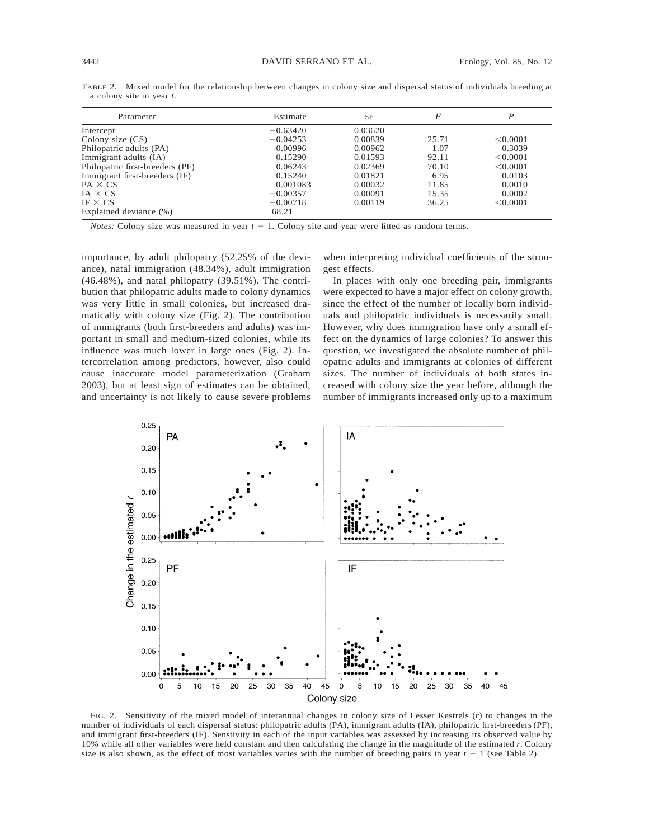TABLE 2. Mixed model for the relationship between changes in colony size and dispersal status of individuals breeding at a colony site in year *t*.

| Parameter                       | Estimate   | <b>SE</b> | F     | D        |
|---------------------------------|------------|-----------|-------|----------|
| Intercept                       | $-0.63420$ | 0.03620   |       |          |
| Colony size $(CS)$              | $-0.04253$ | 0.00839   | 25.71 | < 0.0001 |
| Philopatric adults (PA)         | 0.00996    | 0.00962   | 1.07  | 0.3039   |
| Immigrant adults (IA)           | 0.15290    | 0.01593   | 92.11 | < 0.0001 |
| Philopatric first-breeders (PF) | 0.06243    | 0.02369   | 70.10 | < 0.0001 |
| Immigrant first-breeders (IF)   | 0.15240    | 0.01821   | 6.95  | 0.0103   |
| $PA \times CS$                  | 0.001083   | 0.00032   | 11.85 | 0.0010   |
| $IA \times CS$                  | $-0.00357$ | 0.00091   | 15.35 | 0.0002   |
| IF $\times$ CS.                 | $-0.00718$ | 0.00119   | 36.25 | < 0.0001 |
| Explained deviance (%)          | 68.21      |           |       |          |

*Notes:* Colony size was measured in year  $t - 1$ . Colony site and year were fitted as random terms.

importance, by adult philopatry (52.25% of the deviance), natal immigration (48.34%), adult immigration (46.48%), and natal philopatry (39.51%). The contribution that philopatric adults made to colony dynamics was very little in small colonies, but increased dramatically with colony size (Fig. 2). The contribution of immigrants (both first-breeders and adults) was important in small and medium-sized colonies, while its influence was much lower in large ones (Fig. 2). Intercorrelation among predictors, however, also could cause inaccurate model parameterization (Graham 2003), but at least sign of estimates can be obtained, and uncertainty is not likely to cause severe problems

when interpreting individual coefficients of the strongest effects.

In places with only one breeding pair, immigrants were expected to have a major effect on colony growth, since the effect of the number of locally born individuals and philopatric individuals is necessarily small. However, why does immigration have only a small effect on the dynamics of large colonies? To answer this question, we investigated the absolute number of philopatric adults and immigrants at colonies of different sizes. The number of individuals of both states increased with colony size the year before, although the number of immigrants increased only up to a maximum



FIG. 2. Sensitivity of the mixed model of interannual changes in colony size of Lesser Kestrels (*r*) to changes in the number of individuals of each dispersal status: philopatric adults (PA), immigrant adults (IA), philopatric first-breeders (PF), and immigrant first-breeders (IF). Senstivity in each of the input variables was assessed by increasing its observed value by 10% while all other variables were held constant and then calculating the change in the magnitude of the estimated *r*. Colony size is also shown, as the effect of most variables varies with the number of breeding pairs in year  $t - 1$  (see Table 2).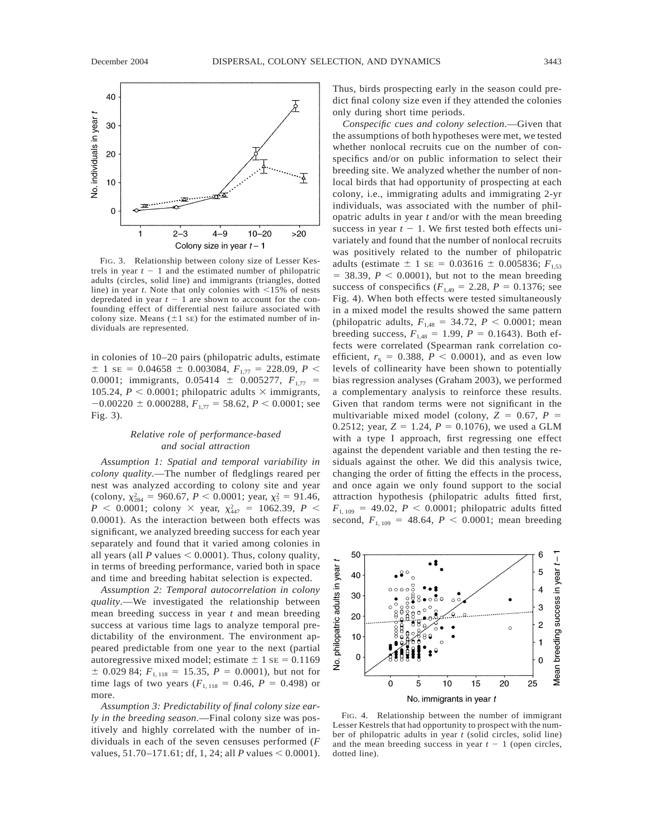

FIG. 3. Relationship between colony size of Lesser Kestrels in year  $t - 1$  and the estimated number of philopatric adults (circles, solid line) and immigrants (triangles, dotted line) in year  $t$ . Note that only colonies with  $\leq 15\%$  of nests depredated in year  $t - 1$  are shown to account for the confounding effect of differential nest failure associated with colony size. Means  $(\pm 1 \text{ se})$  for the estimated number of individuals are represented.

in colonies of 10–20 pairs (philopatric adults, estimate  $\pm$  1 se = 0.04658  $\pm$  0.003084,  $F_{1,77}$  = 228.09, *P* < 0.0001; immigrants, 0.05414  $\pm$  0.005277,  $F_{1,77}$  = 105.24,  $P < 0.0001$ ; philopatric adults  $\times$  immigrants,  $-0.00220 \pm 0.000288$ ,  $F_{1,77} = 58.62$ ,  $P < 0.0001$ ; see Fig. 3).

## *Relative role of performance-based and social attraction*

*Assumption 1: Spatial and temporal variability in colony quality*.—The number of fledglings reared per nest was analyzed according to colony site and year (colony,  $\chi^2_{284}$  = 960.67, *P* < 0.0001; year,  $\chi^2_7$  = 91.46,  $P < 0.0001$ ; colony  $\times$  year,  $\chi^2_{447} = 1062.39$ ,  $P <$ 0.0001). As the interaction between both effects was significant, we analyzed breeding success for each year separately and found that it varied among colonies in all years (all  $P$  values  $< 0.0001$ ). Thus, colony quality, in terms of breeding performance, varied both in space and time and breeding habitat selection is expected.

*Assumption 2: Temporal autocorrelation in colony quality*.—We investigated the relationship between mean breeding success in year *t* and mean breeding success at various time lags to analyze temporal predictability of the environment. The environment appeared predictable from one year to the next (partial autoregressive mixed model; estimate  $\pm$  1 sE = 0.1169  $\pm$  0.029 84;  $F_{1,118} = 15.35$ ,  $P = 0.0001$ ), but not for time lags of two years  $(F_{1, 118} = 0.46, P = 0.498)$  or more.

*Assumption 3: Predictability of final colony size early in the breeding season*.—Final colony size was positively and highly correlated with the number of individuals in each of the seven censuses performed (*F* values,  $51.70 - 171.61$ ; df, 1, 24; all *P* values  $< 0.0001$ ). Thus, birds prospecting early in the season could predict final colony size even if they attended the colonies only during short time periods.

*Conspecific cues and colony selection*.—Given that the assumptions of both hypotheses were met, we tested whether nonlocal recruits cue on the number of conspecifics and/or on public information to select their breeding site. We analyzed whether the number of nonlocal birds that had opportunity of prospecting at each colony, i.e., immigrating adults and immigrating 2-yr individuals, was associated with the number of philopatric adults in year *t* and/or with the mean breeding success in year  $t - 1$ . We first tested both effects univariately and found that the number of nonlocal recruits was positively related to the number of philopatric adults (estimate  $\pm$  1 se = 0.03616  $\pm$  0.005836;  $F_{1,53}$  $=$  38.39,  $P \le 0.0001$ ), but not to the mean breeding success of conspecifics ( $F_{1,49} = 2.28$ ,  $P = 0.1376$ ; see Fig. 4). When both effects were tested simultaneously in a mixed model the results showed the same pattern (philopatric adults,  $F_{1,48} = 34.72$ ,  $P < 0.0001$ ; mean breeding success,  $F_{1,48} = 1.99$ ,  $P = 0.1643$ ). Both effects were correlated (Spearman rank correlation coefficient,  $r_S = 0.388$ ,  $P < 0.0001$ ), and as even low levels of collinearity have been shown to potentially bias regression analyses (Graham 2003), we performed a complementary analysis to reinforce these results. Given that random terms were not significant in the multivariable mixed model (colony,  $Z = 0.67$ ,  $P =$ 0.2512; year,  $Z = 1.24$ ,  $P = 0.1076$ ), we used a GLM with a type I approach, first regressing one effect against the dependent variable and then testing the residuals against the other. We did this analysis twice, changing the order of fitting the effects in the process, and once again we only found support to the social attraction hypothesis (philopatric adults fitted first,  $F_{1, 109} = 49.02$ ,  $P < 0.0001$ ; philopatric adults fitted second,  $F_{1, 109} = 48.64$ ,  $P < 0.0001$ ; mean breeding



FIG. 4. Relationship between the number of immigrant Lesser Kestrels that had opportunity to prospect with the number of philopatric adults in year *t* (solid circles, solid line) and the mean breeding success in year  $t - 1$  (open circles, dotted line).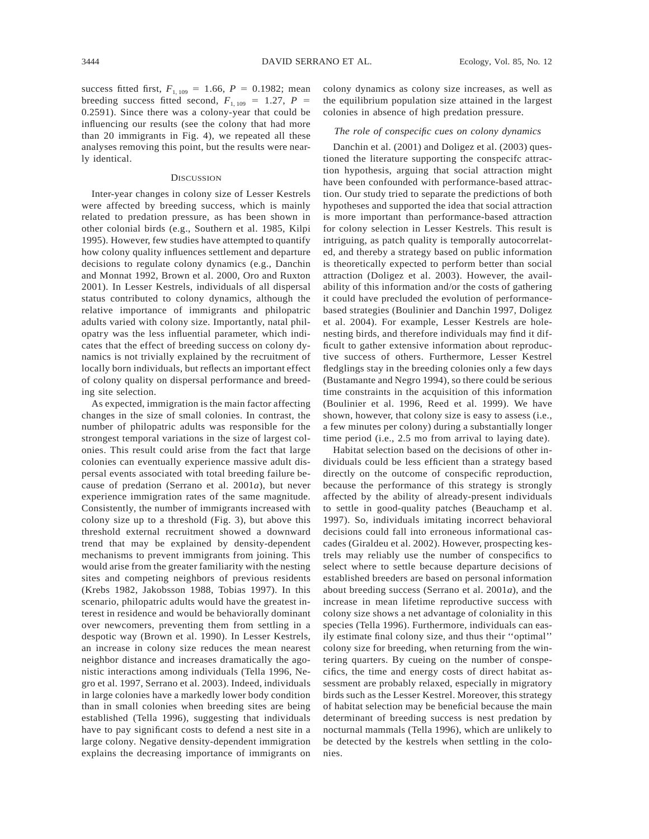success fitted first,  $F_{1, 109} = 1.66$ ,  $P = 0.1982$ ; mean breeding success fitted second,  $F_{1,109} = 1.27$ ,  $P =$ 0.2591). Since there was a colony-year that could be influencing our results (see the colony that had more than 20 immigrants in Fig. 4), we repeated all these analyses removing this point, but the results were nearly identical.

## **DISCUSSION**

Inter-year changes in colony size of Lesser Kestrels were affected by breeding success, which is mainly related to predation pressure, as has been shown in other colonial birds (e.g., Southern et al. 1985, Kilpi 1995). However, few studies have attempted to quantify how colony quality influences settlement and departure decisions to regulate colony dynamics (e.g., Danchin and Monnat 1992, Brown et al. 2000, Oro and Ruxton 2001). In Lesser Kestrels, individuals of all dispersal status contributed to colony dynamics, although the relative importance of immigrants and philopatric adults varied with colony size. Importantly, natal philopatry was the less influential parameter, which indicates that the effect of breeding success on colony dynamics is not trivially explained by the recruitment of locally born individuals, but reflects an important effect of colony quality on dispersal performance and breeding site selection.

As expected, immigration is the main factor affecting changes in the size of small colonies. In contrast, the number of philopatric adults was responsible for the strongest temporal variations in the size of largest colonies. This result could arise from the fact that large colonies can eventually experience massive adult dispersal events associated with total breeding failure because of predation (Serrano et al. 2001*a*), but never experience immigration rates of the same magnitude. Consistently, the number of immigrants increased with colony size up to a threshold (Fig. 3), but above this threshold external recruitment showed a downward trend that may be explained by density-dependent mechanisms to prevent immigrants from joining. This would arise from the greater familiarity with the nesting sites and competing neighbors of previous residents (Krebs 1982, Jakobsson 1988, Tobias 1997). In this scenario, philopatric adults would have the greatest interest in residence and would be behaviorally dominant over newcomers, preventing them from settling in a despotic way (Brown et al. 1990). In Lesser Kestrels, an increase in colony size reduces the mean nearest neighbor distance and increases dramatically the agonistic interactions among individuals (Tella 1996, Negro et al. 1997, Serrano et al. 2003). Indeed, individuals in large colonies have a markedly lower body condition than in small colonies when breeding sites are being established (Tella 1996), suggesting that individuals have to pay significant costs to defend a nest site in a large colony. Negative density-dependent immigration explains the decreasing importance of immigrants on colony dynamics as colony size increases, as well as the equilibrium population size attained in the largest colonies in absence of high predation pressure.

## *The role of conspecific cues on colony dynamics*

Danchin et al. (2001) and Doligez et al. (2003) questioned the literature supporting the conspecifc attraction hypothesis, arguing that social attraction might have been confounded with performance-based attraction. Our study tried to separate the predictions of both hypotheses and supported the idea that social attraction is more important than performance-based attraction for colony selection in Lesser Kestrels. This result is intriguing, as patch quality is temporally autocorrelated, and thereby a strategy based on public information is theoretically expected to perform better than social attraction (Doligez et al. 2003). However, the availability of this information and/or the costs of gathering it could have precluded the evolution of performancebased strategies (Boulinier and Danchin 1997, Doligez et al. 2004). For example, Lesser Kestrels are holenesting birds, and therefore individuals may find it difficult to gather extensive information about reproductive success of others. Furthermore, Lesser Kestrel fledglings stay in the breeding colonies only a few days (Bustamante and Negro 1994), so there could be serious time constraints in the acquisition of this information (Boulinier et al. 1996, Reed et al. 1999). We have shown, however, that colony size is easy to assess (i.e., a few minutes per colony) during a substantially longer time period (i.e., 2.5 mo from arrival to laying date).

Habitat selection based on the decisions of other individuals could be less efficient than a strategy based directly on the outcome of conspecific reproduction, because the performance of this strategy is strongly affected by the ability of already-present individuals to settle in good-quality patches (Beauchamp et al. 1997). So, individuals imitating incorrect behavioral decisions could fall into erroneous informational cascades (Giraldeu et al. 2002). However, prospecting kestrels may reliably use the number of conspecifics to select where to settle because departure decisions of established breeders are based on personal information about breeding success (Serrano et al. 2001*a*), and the increase in mean lifetime reproductive success with colony size shows a net advantage of coloniality in this species (Tella 1996). Furthermore, individuals can easily estimate final colony size, and thus their ''optimal'' colony size for breeding, when returning from the wintering quarters. By cueing on the number of conspecifics, the time and energy costs of direct habitat assessment are probably relaxed, especially in migratory birds such as the Lesser Kestrel. Moreover, this strategy of habitat selection may be beneficial because the main determinant of breeding success is nest predation by nocturnal mammals (Tella 1996), which are unlikely to be detected by the kestrels when settling in the colonies.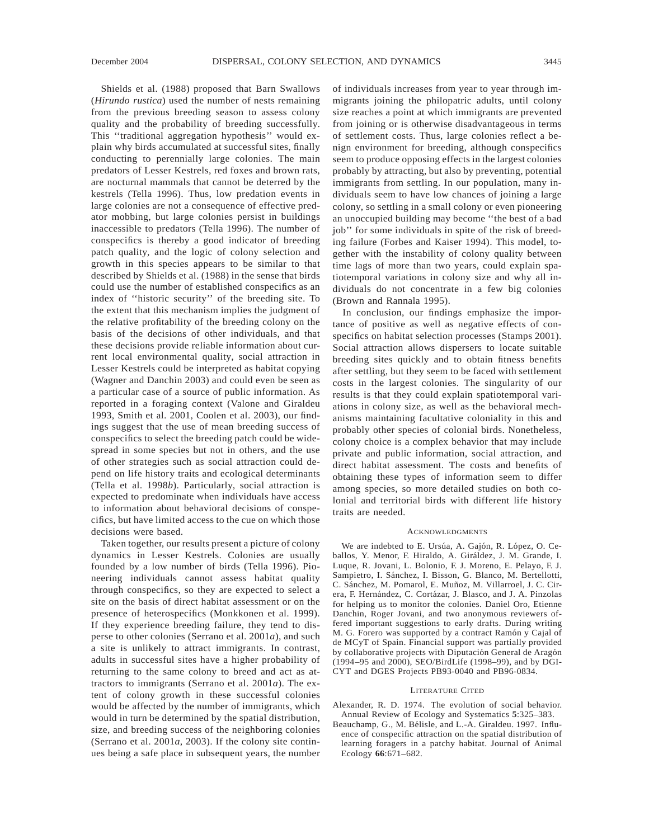Shields et al. (1988) proposed that Barn Swallows (*Hirundo rustica*) used the number of nests remaining from the previous breeding season to assess colony quality and the probability of breeding successfully. This ''traditional aggregation hypothesis'' would explain why birds accumulated at successful sites, finally conducting to perennially large colonies. The main predators of Lesser Kestrels, red foxes and brown rats, are nocturnal mammals that cannot be deterred by the kestrels (Tella 1996). Thus, low predation events in large colonies are not a consequence of effective predator mobbing, but large colonies persist in buildings inaccessible to predators (Tella 1996). The number of conspecifics is thereby a good indicator of breeding patch quality, and the logic of colony selection and growth in this species appears to be similar to that described by Shields et al. (1988) in the sense that birds could use the number of established conspecifics as an index of ''historic security'' of the breeding site. To the extent that this mechanism implies the judgment of the relative profitability of the breeding colony on the basis of the decisions of other individuals, and that these decisions provide reliable information about current local environmental quality, social attraction in Lesser Kestrels could be interpreted as habitat copying (Wagner and Danchin 2003) and could even be seen as a particular case of a source of public information. As reported in a foraging context (Valone and Giraldeu 1993, Smith et al. 2001, Coolen et al. 2003), our findings suggest that the use of mean breeding success of conspecifics to select the breeding patch could be widespread in some species but not in others, and the use of other strategies such as social attraction could depend on life history traits and ecological determinants (Tella et al. 1998*b*). Particularly, social attraction is expected to predominate when individuals have access to information about behavioral decisions of conspecifics, but have limited access to the cue on which those decisions were based.

Taken together, our results present a picture of colony dynamics in Lesser Kestrels. Colonies are usually founded by a low number of birds (Tella 1996). Pioneering individuals cannot assess habitat quality through conspecifics, so they are expected to select a site on the basis of direct habitat assessment or on the presence of heterospecifics (Monkkonen et al. 1999). If they experience breeding failure, they tend to disperse to other colonies (Serrano et al. 2001*a*), and such a site is unlikely to attract immigrants. In contrast, adults in successful sites have a higher probability of returning to the same colony to breed and act as attractors to immigrants (Serrano et al. 2001*a*). The extent of colony growth in these successful colonies would be affected by the number of immigrants, which would in turn be determined by the spatial distribution, size, and breeding success of the neighboring colonies (Serrano et al. 2001*a*, 2003). If the colony site continues being a safe place in subsequent years, the number

of individuals increases from year to year through immigrants joining the philopatric adults, until colony size reaches a point at which immigrants are prevented from joining or is otherwise disadvantageous in terms of settlement costs. Thus, large colonies reflect a benign environment for breeding, although conspecifics seem to produce opposing effects in the largest colonies probably by attracting, but also by preventing, potential immigrants from settling. In our population, many individuals seem to have low chances of joining a large colony, so settling in a small colony or even pioneering an unoccupied building may become ''the best of a bad job'' for some individuals in spite of the risk of breeding failure (Forbes and Kaiser 1994). This model, together with the instability of colony quality between time lags of more than two years, could explain spatiotemporal variations in colony size and why all individuals do not concentrate in a few big colonies (Brown and Rannala 1995).

In conclusion, our findings emphasize the importance of positive as well as negative effects of conspecifics on habitat selection processes (Stamps 2001). Social attraction allows dispersers to locate suitable breeding sites quickly and to obtain fitness benefits after settling, but they seem to be faced with settlement costs in the largest colonies. The singularity of our results is that they could explain spatiotemporal variations in colony size, as well as the behavioral mechanisms maintaining facultative coloniality in this and probably other species of colonial birds. Nonetheless, colony choice is a complex behavior that may include private and public information, social attraction, and direct habitat assessment. The costs and benefits of obtaining these types of information seem to differ among species, so more detailed studies on both colonial and territorial birds with different life history traits are needed.

### **ACKNOWLEDGMENTS**

We are indebted to E. Ursúa, A. Gajón, R. López, O. Ceballos, Y. Menor, F. Hiraldo, A. Giráldez, J. M. Grande, I. Luque, R. Jovani, L. Bolonio, F. J. Moreno, E. Pelayo, F. J. Sampietro, I. Sánchez, I. Bisson, G. Blanco, M. Bertellotti, C. Sánchez, M. Pomarol, E. Muñoz, M. Villarroel, J. C. Cirera, F. Hernández, C. Cortázar, J. Blasco, and J. A. Pinzolas for helping us to monitor the colonies. Daniel Oro, Etienne Danchin, Roger Jovani, and two anonymous reviewers offered important suggestions to early drafts. During writing M. G. Forero was supported by a contract Ramón y Cajal of de MCyT of Spain. Financial support was partially provided by collaborative projects with Diputación General de Aragón (1994–95 and 2000), SEO/BirdLife (1998–99), and by DGI-CYT and DGES Projects PB93-0040 and PB96-0834.

### LITERATURE CITED

- Alexander, R. D. 1974. The evolution of social behavior. Annual Review of Ecology and Systematics **5**:325–383.
- Beauchamp, G., M. Bélisle, and L.-A. Giraldeu. 1997. Influence of conspecific attraction on the spatial distribution of learning foragers in a patchy habitat. Journal of Animal Ecology **66**:671–682.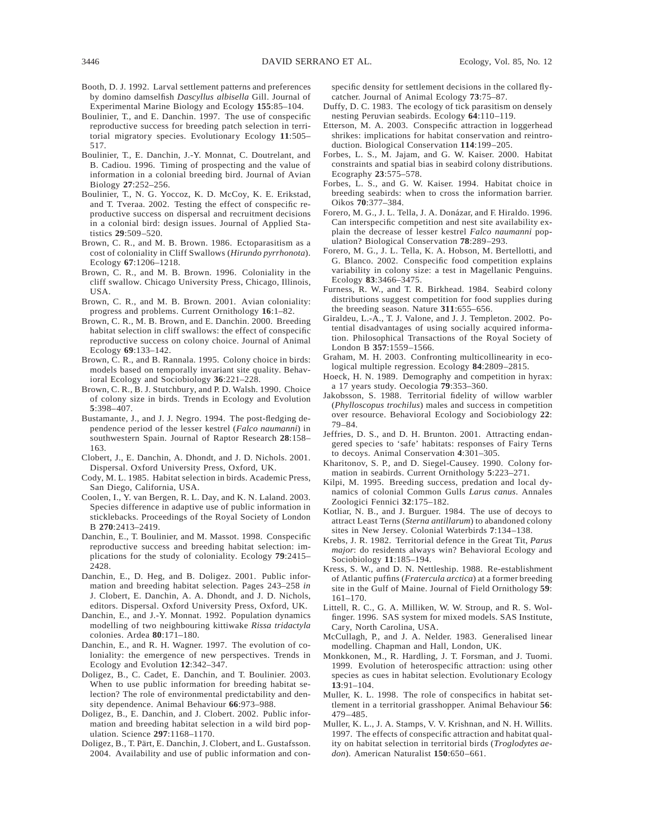- Booth, D. J. 1992. Larval settlement patterns and preferences by domino damselfish *Dascyllus albisella* Gill. Journal of Experimental Marine Biology and Ecology **155**:85–104.
- Boulinier, T., and E. Danchin. 1997. The use of conspecific reproductive success for breeding patch selection in territorial migratory species. Evolutionary Ecology **11**:505– 517.
- Boulinier, T., E. Danchin, J.-Y. Monnat, C. Doutrelant, and B. Cadiou. 1996. Timing of prospecting and the value of information in a colonial breeding bird. Journal of Avian Biology **27**:252–256.
- Boulinier, T., N. G. Yoccoz, K. D. McCoy, K. E. Erikstad, and T. Tveraa. 2002. Testing the effect of conspecific reproductive success on dispersal and recruitment decisions in a colonial bird: design issues. Journal of Applied Statistics **29**:509–520.
- Brown, C. R., and M. B. Brown. 1986. Ectoparasitism as a cost of coloniality in Cliff Swallows (*Hirundo pyrrhonota*). Ecology **67**:1206–1218.
- Brown, C. R., and M. B. Brown. 1996. Coloniality in the cliff swallow. Chicago University Press, Chicago, Illinois, USA.
- Brown, C. R., and M. B. Brown. 2001. Avian coloniality: progress and problems. Current Ornithology **16**:1–82.
- Brown, C. R., M. B. Brown, and E. Danchin. 2000. Breeding habitat selection in cliff swallows: the effect of conspecific reproductive success on colony choice. Journal of Animal Ecology **69**:133–142.
- Brown, C. R., and B. Rannala. 1995. Colony choice in birds: models based on temporally invariant site quality. Behavioral Ecology and Sociobiology **36**:221–228.
- Brown, C. R., B. J. Stutchbury, and P. D. Walsh. 1990. Choice of colony size in birds. Trends in Ecology and Evolution **5**:398–407.
- Bustamante, J., and J. J. Negro. 1994. The post-fledging dependence period of the lesser kestrel (*Falco naumanni*) in southwestern Spain. Journal of Raptor Research **28**:158– 163.
- Clobert, J., E. Danchin, A. Dhondt, and J. D. Nichols. 2001. Dispersal. Oxford University Press, Oxford, UK.
- Cody, M. L. 1985. Habitat selection in birds. Academic Press, San Diego, California, USA.
- Coolen, I., Y. van Bergen, R. L. Day, and K. N. Laland. 2003. Species difference in adaptive use of public information in sticklebacks. Proceedings of the Royal Society of London B **270**:2413–2419.
- Danchin, E., T. Boulinier, and M. Massot. 1998. Conspecific reproductive success and breeding habitat selection: implications for the study of coloniality. Ecology **79**:2415– 2428.
- Danchin, E., D. Heg, and B. Doligez. 2001. Public information and breeding habitat selection. Pages 243–258 *in* J. Clobert, E. Danchin, A. A. Dhondt, and J. D. Nichols, editors. Dispersal. Oxford University Press, Oxford, UK.
- Danchin, E., and J.-Y. Monnat. 1992. Population dynamics modelling of two neighbouring kittiwake *Rissa tridactyla* colonies. Ardea **80**:171–180.
- Danchin, E., and R. H. Wagner. 1997. The evolution of coloniality: the emergence of new perspectives. Trends in Ecology and Evolution **12**:342–347.
- Doligez, B., C. Cadet, E. Danchin, and T. Boulinier. 2003. When to use public information for breeding habitat selection? The role of environmental predictability and density dependence. Animal Behaviour **66**:973–988.
- Doligez, B., E. Danchin, and J. Clobert. 2002. Public information and breeding habitat selection in a wild bird population. Science **297**:1168–1170.
- Doligez, B., T. Pärt, E. Danchin, J. Clobert, and L. Gustafsson. 2004. Availability and use of public information and con-

specific density for settlement decisions in the collared flycatcher. Journal of Animal Ecology **73**:75–87.

- Duffy, D. C. 1983. The ecology of tick parasitism on densely nesting Peruvian seabirds. Ecology **64**:110–119.
- Etterson, M. A. 2003. Conspecific attraction in loggerhead shrikes: implications for habitat conservation and reintroduction. Biological Conservation **114**:199–205.
- Forbes, L. S., M. Jajam, and G. W. Kaiser. 2000. Habitat constraints and spatial bias in seabird colony distributions. Ecography **23**:575–578.
- Forbes, L. S., and G. W. Kaiser. 1994. Habitat choice in breeding seabirds: when to cross the information barrier. Oikos **70**:377–384.
- Forero, M. G., J. L. Tella, J. A. Donázar, and F. Hiraldo. 1996. Can interspecific competition and nest site availability explain the decrease of lesser kestrel *Falco naumanni* population? Biological Conservation **78**:289–293.
- Forero, M. G., J. L. Tella, K. A. Hobson, M. Bertellotti, and G. Blanco. 2002. Conspecific food competition explains variability in colony size: a test in Magellanic Penguins. Ecology **83**:3466–3475.
- Furness, R. W., and T. R. Birkhead. 1984. Seabird colony distributions suggest competition for food supplies during the breeding season. Nature **311**:655–656.
- Giraldeu, L.-A., T. J. Valone, and J. J. Templeton. 2002. Potential disadvantages of using socially acquired information. Philosophical Transactions of the Royal Society of London B **357**:1559–1566.
- Graham, M. H. 2003. Confronting multicollinearity in ecological multiple regression. Ecology **84**:2809–2815.
- Hoeck, H. N. 1989. Demography and competition in hyrax: a 17 years study. Oecologia **79**:353–360.
- Jakobsson, S. 1988. Territorial fidelity of willow warbler (*Phylloscopus trochilus*) males and success in competition over resource. Behavioral Ecology and Sociobiology **22**: 79–84.
- Jeffries, D. S., and D. H. Brunton. 2001. Attracting endangered species to 'safe' habitats: responses of Fairy Terns to decoys. Animal Conservation **4**:301–305.
- Kharitonov, S. P., and D. Siegel-Causey. 1990. Colony formation in seabirds. Current Ornithology **5**:223–271.
- Kilpi, M. 1995. Breeding success, predation and local dynamics of colonial Common Gulls *Larus canus*. Annales Zoologici Fennici **32**:175–182.
- Kotliar, N. B., and J. Burguer. 1984. The use of decoys to attract Least Terns (*Sterna antillarum*) to abandoned colony sites in New Jersey. Colonial Waterbirds **7**:134–138.
- Krebs, J. R. 1982. Territorial defence in the Great Tit, *Parus major*: do residents always win? Behavioral Ecology and Sociobiology **11**:185–194.
- Kress, S. W., and D. N. Nettleship. 1988. Re-establishment of Atlantic puffins (*Fratercula arctica*) at a former breeding site in the Gulf of Maine. Journal of Field Ornithology **59**: 161–170.
- Littell, R. C., G. A. Milliken, W. W. Stroup, and R. S. Wolfinger. 1996. SAS system for mixed models. SAS Institute, Cary, North Carolina, USA.
- McCullagh, P., and J. A. Nelder. 1983. Generalised linear modelling. Chapman and Hall, London, UK.
- Monkkonen, M., R. Hardling, J. T. Forsman, and J. Tuomi. 1999. Evolution of heterospecific attraction: using other species as cues in habitat selection. Evolutionary Ecology **13**:91–104.
- Muller, K. L. 1998. The role of conspecifics in habitat settlement in a territorial grasshopper. Animal Behaviour **56**: 479–485.
- Muller, K. L., J. A. Stamps, V. V. Krishnan, and N. H. Willits. 1997. The effects of conspecific attraction and habitat quality on habitat selection in territorial birds (*Troglodytes aedon*). American Naturalist **150**:650–661.